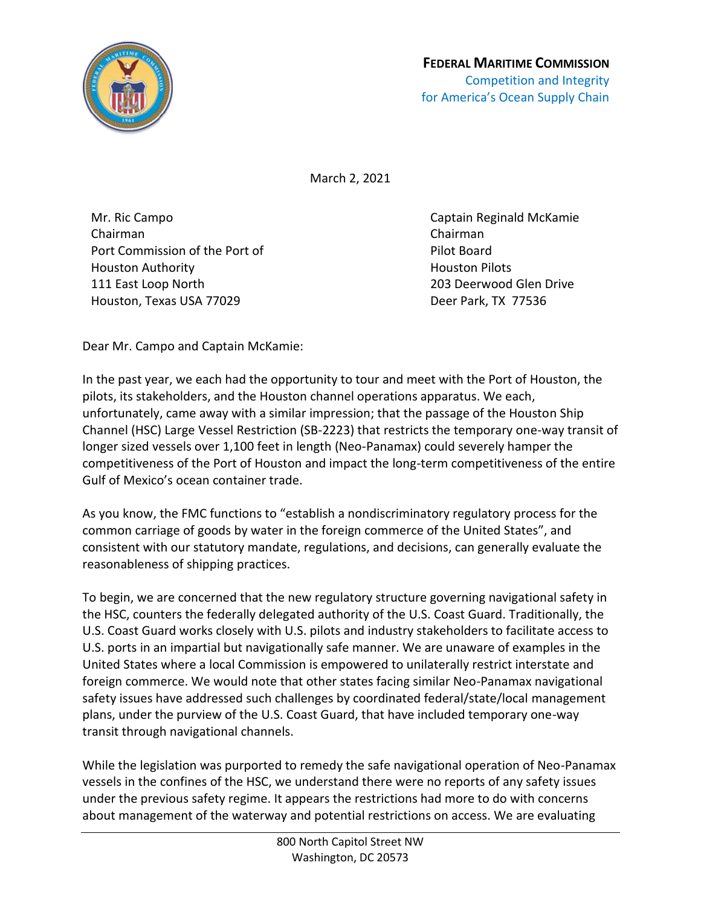

March 2, 2021

Mr. Ric Campo Chairman Port Commission of the Port of Houston Authority 111 East Loop North Houston, Texas USA 77029

Captain Reginald McKamie Chairman Pilot Board Houston Pilots 203 Deerwood Glen Drive Deer Park, TX 77536

Dear Mr. Campo and Captain McKamie:

In the past year, we each had the opportunity to tour and meet with the Port of Houston, the pilots, its stakeholders, and the Houston channel operations apparatus. We each, unfortunately, came away with a similar impression; that the passage of the Houston Ship Channel (HSC) Large Vessel Restriction (SB-2223) that restricts the temporary one-way transit of longer sized vessels over 1,100 feet in length (Neo-Panamax) could severely hamper the competitiveness of the Port of Houston and impact the long-term competitiveness of the entire Gulf of Mexico's ocean container trade.

As you know, the FMC functions to "establish a nondiscriminatory regulatory process for the common carriage of goods by water in the foreign commerce of the United States", and consistent with our statutory mandate, regulations, and decisions, can generally evaluate the reasonableness of shipping practices.

To begin, we are concerned that the new regulatory structure governing navigational safety in the HSC, counters the federally delegated authority of the U.S. Coast Guard. Traditionally, the U.S. Coast Guard works closely with U.S. pilots and industry stakeholders to facilitate access to U.S. ports in an impartial but navigationally safe manner. We are unaware of examples in the United States where a local Commission is empowered to unilaterally restrict interstate and foreign commerce. We would note that other states facing similar Neo-Panamax navigational safety issues have addressed such challenges by coordinated federal/state/local management plans, under the purview of the U.S. Coast Guard, that have included temporary one-way transit through navigational channels.

While the legislation was purported to remedy the safe navigational operation of Neo-Panamax vessels in the confines of the HSC, we understand there were no reports of any safety issues under the previous safety regime. It appears the restrictions had more to do with concerns about management of the waterway and potential restrictions on access. We are evaluating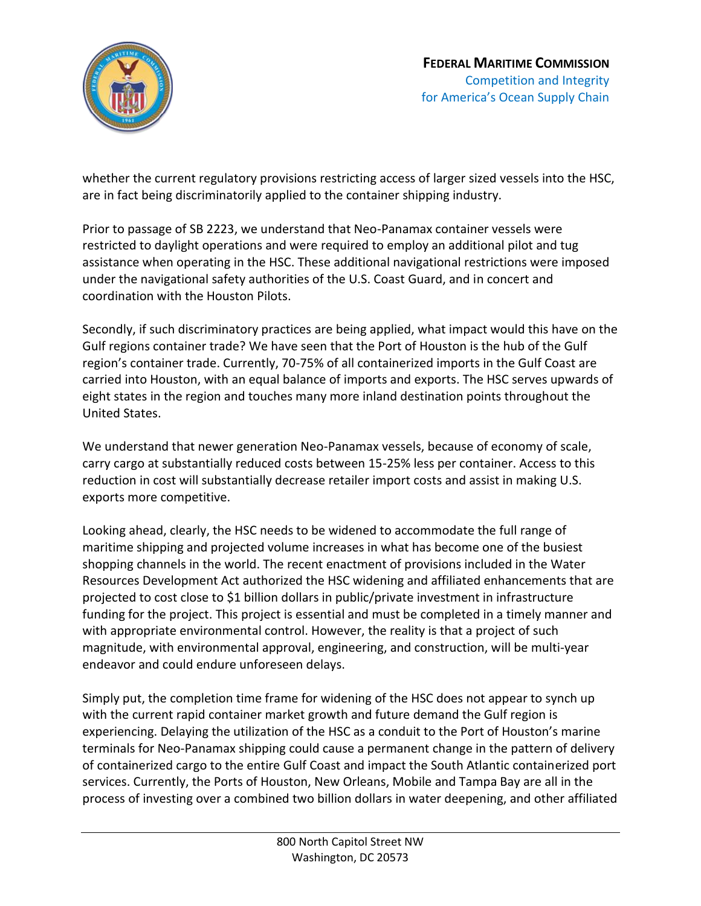

whether the current regulatory provisions restricting access of larger sized vessels into the HSC, are in fact being discriminatorily applied to the container shipping industry.

Prior to passage of SB 2223, we understand that Neo-Panamax container vessels were restricted to daylight operations and were required to employ an additional pilot and tug assistance when operating in the HSC. These additional navigational restrictions were imposed under the navigational safety authorities of the U.S. Coast Guard, and in concert and coordination with the Houston Pilots.

Secondly, if such discriminatory practices are being applied, what impact would this have on the Gulf regions container trade? We have seen that the Port of Houston is the hub of the Gulf region's container trade. Currently, 70-75% of all containerized imports in the Gulf Coast are carried into Houston, with an equal balance of imports and exports. The HSC serves upwards of eight states in the region and touches many more inland destination points throughout the United States.

We understand that newer generation Neo-Panamax vessels, because of economy of scale, carry cargo at substantially reduced costs between 15-25% less per container. Access to this reduction in cost will substantially decrease retailer import costs and assist in making U.S. exports more competitive.

Looking ahead, clearly, the HSC needs to be widened to accommodate the full range of maritime shipping and projected volume increases in what has become one of the busiest shopping channels in the world. The recent enactment of provisions included in the Water Resources Development Act authorized the HSC widening and affiliated enhancements that are projected to cost close to \$1 billion dollars in public/private investment in infrastructure funding for the project. This project is essential and must be completed in a timely manner and with appropriate environmental control. However, the reality is that a project of such magnitude, with environmental approval, engineering, and construction, will be multi-year endeavor and could endure unforeseen delays.

Simply put, the completion time frame for widening of the HSC does not appear to synch up with the current rapid container market growth and future demand the Gulf region is experiencing. Delaying the utilization of the HSC as a conduit to the Port of Houston's marine terminals for Neo-Panamax shipping could cause a permanent change in the pattern of delivery of containerized cargo to the entire Gulf Coast and impact the South Atlantic containerized port services. Currently, the Ports of Houston, New Orleans, Mobile and Tampa Bay are all in the process of investing over a combined two billion dollars in water deepening, and other affiliated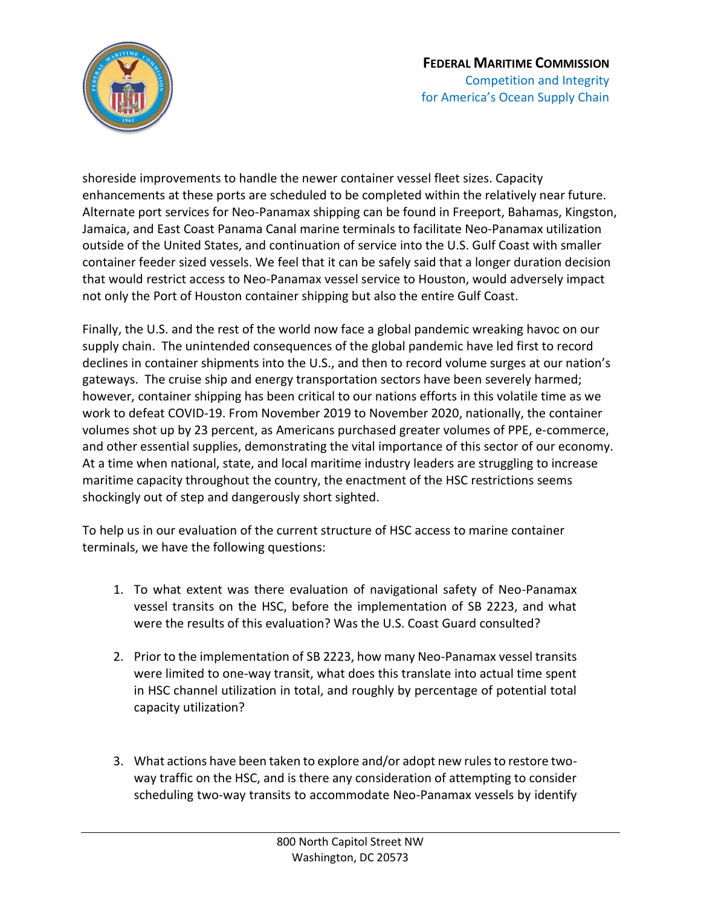

shoreside improvements to handle the newer container vessel fleet sizes. Capacity enhancements at these ports are scheduled to be completed within the relatively near future. Alternate port services for Neo-Panamax shipping can be found in Freeport, Bahamas, Kingston, Jamaica, and East Coast Panama Canal marine terminals to facilitate Neo-Panamax utilization outside of the United States, and continuation of service into the U.S. Gulf Coast with smaller container feeder sized vessels. We feel that it can be safely said that a longer duration decision that would restrict access to Neo-Panamax vessel service to Houston, would adversely impact not only the Port of Houston container shipping but also the entire Gulf Coast.

Finally, the U.S. and the rest of the world now face a global pandemic wreaking havoc on our supply chain. The unintended consequences of the global pandemic have led first to record declines in container shipments into the U.S., and then to record volume surges at our nation's gateways. The cruise ship and energy transportation sectors have been severely harmed; however, container shipping has been critical to our nations efforts in this volatile time as we work to defeat COVID-19. From November 2019 to November 2020, nationally, the container volumes shot up by 23 percent, as Americans purchased greater volumes of PPE, e-commerce, and other essential supplies, demonstrating the vital importance of this sector of our economy. At a time when national, state, and local maritime industry leaders are struggling to increase maritime capacity throughout the country, the enactment of the HSC restrictions seems shockingly out of step and dangerously short sighted.

To help us in our evaluation of the current structure of HSC access to marine container terminals, we have the following questions:

- 1. To what extent was there evaluation of navigational safety of Neo-Panamax vessel transits on the HSC, before the implementation of SB 2223, and what were the results of this evaluation? Was the U.S. Coast Guard consulted?
- 2. Prior to the implementation of SB 2223, how many Neo-Panamax vessel transits were limited to one-way transit, what does this translate into actual time spent in HSC channel utilization in total, and roughly by percentage of potential total capacity utilization?
- 3. What actions have been taken to explore and/or adopt new rules to restore twoway traffic on the HSC, and is there any consideration of attempting to consider scheduling two-way transits to accommodate Neo-Panamax vessels by identify